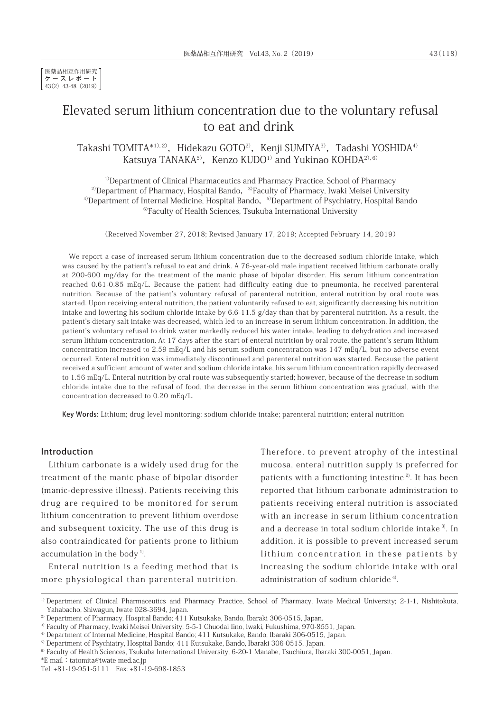# Elevated serum lithium concentration due to the voluntary refusal to eat and drink

Takashi TOMITA\*<sup>1), 2)</sup>, Hidekazu GOTO<sup>2)</sup>, Kenji SUMIYA<sup>3)</sup>, Tadashi YOSHIDA<sup>4)</sup> Katsuya TANAKA<sup>5)</sup>, Kenzo KUDO<sup>1)</sup> and Yukinao KOHDA<sup>2), 6)</sup>

<sup>1)</sup>Department of Clinical Pharmaceutics and Pharmacy Practice, School of Pharmacy <sup>2)</sup>Department of Pharmacy, Hospital Bando,  $3$ <sup>3</sup>Faculty of Pharmacy, Iwaki Meisei University  $4$ <sup>D</sup> Department of Internal Medicine, Hospital Bando,  $5$ Department of Psychiatry, Hospital Bando <sup>6)</sup>Faculty of Health Sciences, Tsukuba International University

(Received November 27, 2018; Revised January 17, 2019; Accepted February 14, 2019)

We report a case of increased serum lithium concentration due to the decreased sodium chloride intake, which was caused by the patient's refusal to eat and drink. A 76-year-old male inpatient received lithium carbonate orally at 200-600 mg/day for the treatment of the manic phase of bipolar disorder. His serum lithium concentration reached 0.61-0.85 mEq/L. Because the patient had difficulty eating due to pneumonia, he received parenteral nutrition. Because of the patient's voluntary refusal of parenteral nutrition, enteral nutrition by oral route was started. Upon receiving enteral nutrition, the patient voluntarily refused to eat, significantly decreasing his nutrition intake and lowering his sodium chloride intake by  $6.6-11.5$  g/day than that by parenteral nutrition. As a result, the patient's dietary salt intake was decreased, which led to an increase in serum lithium concentration. In addition, the patient's voluntary refusal to drink water markedly reduced his water intake, leading to dehydration and increased serum lithium concentration. At 17 days after the start of enteral nutrition by oral route, the patient's serum lithium concentration increased to 2.59 mEq/L and his serum sodium concentration was 147 mEq/L, but no adverse event occurred. Enteral nutrition was immediately discontinued and parenteral nutrition was started. Because the patient received a sufficient amount of water and sodium chloride intake, his serum lithium concentration rapidly decreased to 1.56 mEq/L. Enteral nutrition by oral route was subsequently started; however, because of the decrease in sodium chloride intake due to the refusal of food, the decrease in the serum lithium concentration was gradual, with the concentration decreased to 0.20 mEq/L.

Key Words: Lithium; drug-level monitoring; sodium chloride intake; parenteral nutrition; enteral nutrition

### Introduction

Lithium carbonate is a widely used drug for the treatment of the manic phase of bipolar disorder (manic-depressive illness). Patients receiving this drug are required to be monitored for serum lithium concentration to prevent lithium overdose and subsequent toxicity. The use of this drug is also contraindicated for patients prone to lithium accumulation in the body<sup> $1$ )</sup>.

Enteral nutrition is a feeding method that is more physiological than parenteral nutrition. Therefore, to prevent atrophy of the intestinal mucosa, enteral nutrition supply is preferred for patients with a functioning intestine<sup>2)</sup>. It has been reported that lithium carbonate administration to patients receiving enteral nutrition is associated with an increase in serum lithium concentration and a decrease in total sodium chloride intake<sup>3)</sup>. In addition, it is possible to prevent increased serum lithium concentration in these patients by increasing the sodium chloride intake with oral administration of sodium chloride<sup>4)</sup>.

\*E-mail:tatomita@iwate-med.ac.jp

<sup>&</sup>lt;sup>1)</sup> Department of Clinical Pharmaceutics and Pharmacy Practice, School of Pharmacy, Iwate Medical University; 2-1-1, Nishitokuta, Yahabacho, Shiwagun, Iwate 028-3694, Japan.

<sup>&</sup>lt;sup>2)</sup> Department of Pharmacy, Hospital Bando; 411 Kutsukake, Bando, Ibaraki 306-0515, Japan.

<sup>3)</sup>Faculty of Pharmacy, Iwaki Meisei University; 5-5-1 Chuodai Iino, Iwaki, Fukushima, 970-8551, Japan.

<sup>4)</sup>Department of Internal Medicine, Hospital Bando; 411 Kutsukake, Bando, Ibaraki 306-0515, Japan.

<sup>&</sup>lt;sup>5)</sup> Department of Psychiatry, Hospital Bando; 411 Kutsukake, Bando, Ibaraki 306-0515, Japan.

<sup>&</sup>lt;sup>6)</sup> Faculty of Health Sciences, Tsukuba International University; 6-20-1 Manabe, Tsuchiura, Ibaraki 300-0051, Japan.

Tel: +81-19-951-5111 Fax: +81-19-698-1853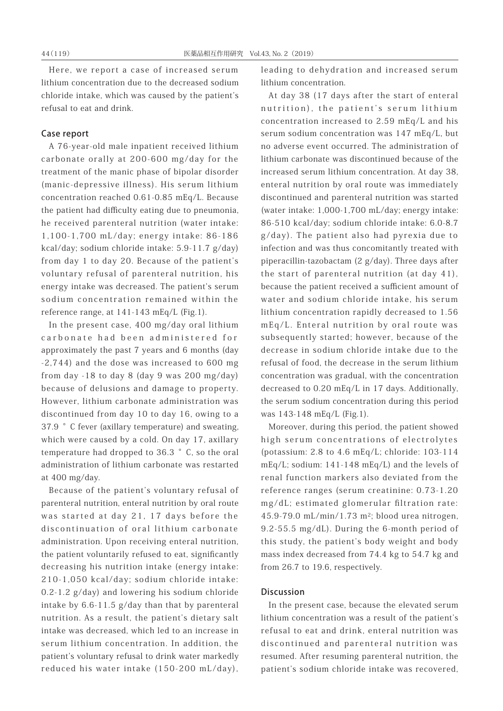Here, we report a case of increased serum lithium concentration due to the decreased sodium chloride intake, which was caused by the patient's refusal to eat and drink.

## Case report

A 76-year-old male inpatient received lithium carbonate orally at 200-600 mg/day for the treatment of the manic phase of bipolar disorder (manic-depressive illness). His serum lithium concentration reached 0.61-0.85 mEq/L. Because the patient had difficulty eating due to pneumonia, he received parenteral nutrition (water intake: 1,100-1,700 mL/day; energy intake: 86-186 kcal/day; sodium chloride intake: 5.9-11.7 g/day) from day 1 to day 20. Because of the patient's voluntary refusal of parenteral nutrition, his energy intake was decreased. The patient's serum sodium concentration remained within the reference range, at 141-143 mEq/L (Fig.1).

In the present case, 400 mg/day oral lithium carbonate had been administered for approximately the past 7 years and 6 months (day -2,744) and the dose was increased to 600 mg from day -18 to day 8 (day 9 was 200 mg/day) because of delusions and damage to property. However, lithium carbonate administration was discontinued from day 10 to day 16, owing to a 37.9 °C fever (axillary temperature) and sweating, which were caused by a cold. On day 17, axillary temperature had dropped to 36.3 °C, so the oral administration of lithium carbonate was restarted at 400 mg/day.

Because of the patient's voluntary refusal of parenteral nutrition, enteral nutrition by oral route was started at day 21, 17 days before the discontinuation of oral lithium carbonate administration. Upon receiving enteral nutrition, the patient voluntarily refused to eat, significantly decreasing his nutrition intake (energy intake: 210-1,050 kcal/day; sodium chloride intake: 0.2-1.2 g/day) and lowering his sodium chloride intake by 6.6-11.5 g/day than that by parenteral nutrition. As a result, the patient's dietary salt intake was decreased, which led to an increase in serum lithium concentration. In addition, the patient's voluntary refusal to drink water markedly reduced his water intake (150-200 mL/day),

leading to dehydration and increased serum lithium concentration.

At day 38 (17 days after the start of enteral nutrition), the patient's serum lithium concentration increased to 2.59 mEq/L and his serum sodium concentration was 147 mEq/L, but no adverse event occurred. The administration of lithium carbonate was discontinued because of the increased serum lithium concentration. At day 38, enteral nutrition by oral route was immediately discontinued and parenteral nutrition was started (water intake: 1,000-1,700 mL/day; energy intake: 86-510 kcal/day; sodium chloride intake: 6.0-8.7 g/day). The patient also had pyrexia due to infection and was thus concomitantly treated with piperacillin-tazobactam (2 g/day). Three days after the start of parenteral nutrition (at day 41), because the patient received a sufficient amount of water and sodium chloride intake, his serum lithium concentration rapidly decreased to 1.56 mEq/L. Enteral nutrition by oral route was subsequently started; however, because of the decrease in sodium chloride intake due to the refusal of food, the decrease in the serum lithium concentration was gradual, with the concentration decreased to 0.20 mEq/L in 17 days. Additionally, the serum sodium concentration during this period was 143-148 mEq/L (Fig.1).

Moreover, during this period, the patient showed high serum concentrations of electrolytes (potassium: 2.8 to 4.6 mEq/L; chloride: 103-114 mEq/L; sodium: 141-148 mEq/L) and the levels of renal function markers also deviated from the reference ranges (serum creatinine: 0.73-1.20 mg/dL; estimated glomerular filtration rate: 45.9-79.0 mL/min/1.73 m2; blood urea nitrogen, 9.2-55.5 mg/dL). During the 6-month period of this study, the patient's body weight and body mass index decreased from 74.4 kg to 54.7 kg and from 26.7 to 19.6, respectively.

#### Discussion

In the present case, because the elevated serum lithium concentration was a result of the patient's refusal to eat and drink, enteral nutrition was discontinued and parenteral nutrition was resumed. After resuming parenteral nutrition, the patient's sodium chloride intake was recovered,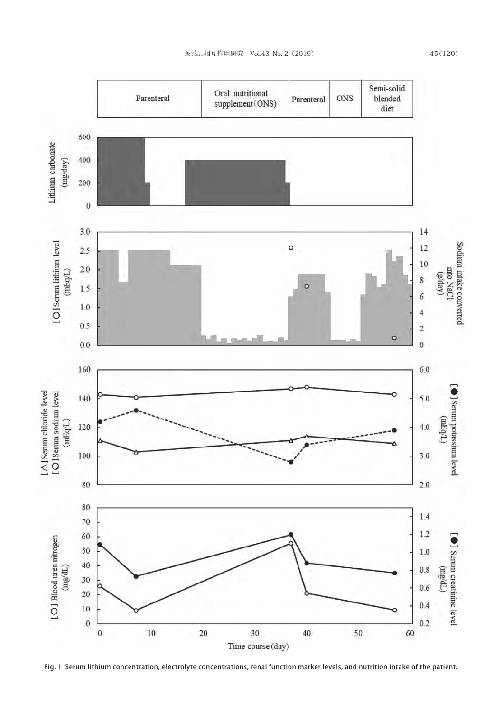

Fig. 1 Serum lithium concentration, electrolyte concentrations, renal function marker levels, and nutrition intake of the patient.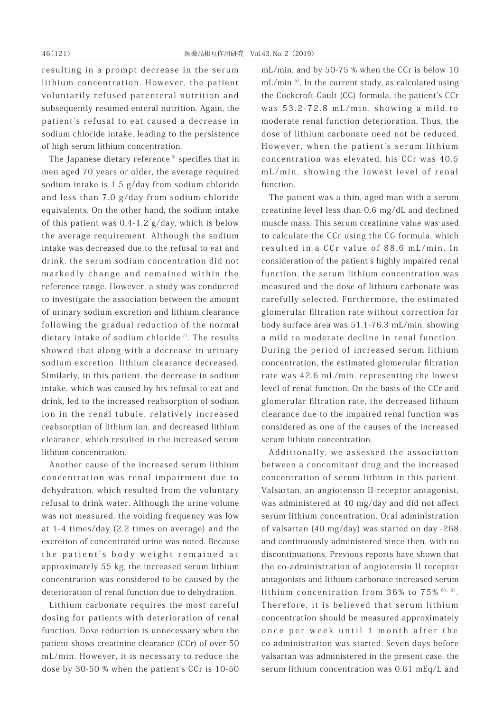resulting in a prompt decrease in the serum lithium concentration. However, the patient voluntarily refused parenteral nutrition and subsequently resumed enteral nutrition. Again, the patient's refusal to eat caused a decrease in sodium chloride intake, leading to the persistence of high serum lithium concentration.

The Japanese dietary reference  $6$  specifies that in men aged 70 years or older, the average required sodium intake is 1.5 g/day from sodium chloride and less than 7.0 g/day from sodium chloride equivalents. On the other hand, the sodium intake of this patient was 0.4-1.2 g/day, which is below the average requirement. Although the sodium intake was decreased due to the refusal to eat and drink, the serum sodium concentration did not markedly change and remained within the reference range. However, a study was conducted to investigate the association between the amount of urinary sodium excretion and lithium clearance following the gradual reduction of the normal dietary intake of sodium chloride<sup> $7$ </sup>. The results showed that along with a decrease in urinary sodium excretion, lithium clearance decreased. Similarly, in this patient, the decrease in sodium intake, which was caused by his refusal to eat and drink, led to the increased reabsorption of sodium ion in the renal tubule, relatively increased reabsorption of lithium ion, and decreased lithium clearance, which resulted in the increased serum lithium concentration.

Another cause of the increased serum lithium concentration was renal impairment due to dehydration, which resulted from the voluntary refusal to drink water. Although the urine volume was not measured, the voiding frequency was low at 1-4 times/day (2.2 times on average) and the excretion of concentrated urine was noted. Because the patient's body weight remained at approximately 55 kg, the increased serum lithium concentration was considered to be caused by the deterioration of renal function due to dehydration.

Lithium carbonate requires the most careful dosing for patients with deterioration of renal function. Dose reduction is unnecessary when the patient shows creatinine clearance (CCr) of over 50 mL/min. However, it is necessary to reduce the dose by 30-50 % when the patient's CCr is 10-50

mL/min, and by 50-75 % when the CCr is below 10  $mL/min$ <sup>5)</sup>. In the current study, as calculated using the Cockcroft-Gault (CG) formula, the patient's CCr was 53.2-72.8 mL/min, showing a mild to moderate renal function deterioration. Thus, the dose of lithium carbonate need not be reduced. However, when the patient's serum lithium concentration was elevated, his CCr was 40.5 mL/min, showing the lowest level of renal function.

The patient was a thin, aged man with a serum creatinine level less than 0.6 mg/dL and declined muscle mass. This serum creatinine value was used to calculate the CCr using the CG formula, which resulted in a CCr value of 88.6 mL/min. In consideration of the patient's highly impaired renal function, the serum lithium concentration was measured and the dose of lithium carbonate was carefully selected. Furthermore, the estimated glomerular filtration rate without correction for body surface area was 51.1-76.3 mL/min, showing a mild to moderate decline in renal function. During the period of increased serum lithium concentration, the estimated glomerular filtration rate was 42.6 mL/min, representing the lowest level of renal function. On the basis of the CCr and glomerular filtration rate, the decreased lithium clearance due to the impaired renal function was considered as one of the causes of the increased serum lithium concentration.

Additionally, we assessed the association between a concomitant drug and the increased concentration of serum lithium in this patient. Valsartan, an angiotensin II-receptor antagonist, was administered at 40 mg/day and did not affect serum lithium concentration. Oral administration of valsartan (40 mg/day) was started on day -268 and continuously administered since then, with no discontinuations. Previous reports have shown that the co-administration of angiotensin II receptor antagonists and lithium carbonate increased serum lithium concentration from  $36\%$  to  $75\%$ <sup>8), 9)</sup>. Therefore, it is believed that serum lithium concentration should be measured approximately once per week until 1 month after the co-administration was started. Seven days before valsartan was administered in the present case, the serum lithium concentration was 0.61 mEq/L and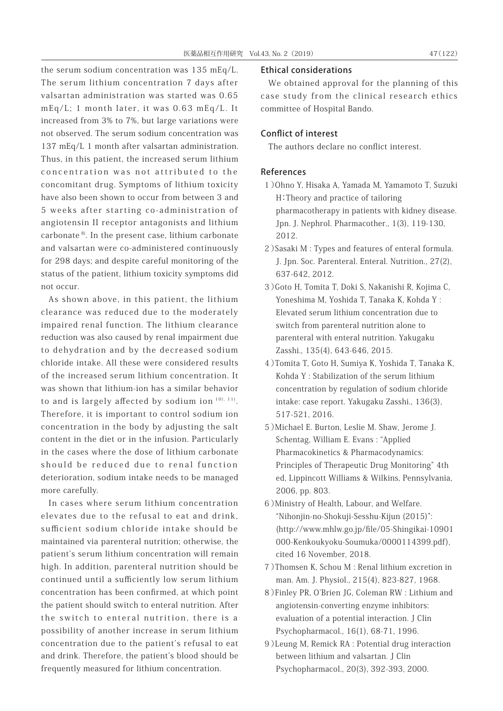the serum sodium concentration was 135 mEq/L. The serum lithium concentration 7 days after valsartan administration was started was 0.65 mEq/L; 1 month later, it was 0.63 mEq/L. It increased from 3% to 7%, but large variations were not observed. The serum sodium concentration was 137 mEq/L 1 month after valsartan administration. Thus, in this patient, the increased serum lithium concentration was not attributed to the concomitant drug. Symptoms of lithium toxicity have also been shown to occur from between 3 and 5 weeks after starting co-administration of angiotensin II receptor antagonists and lithium carbonate 8). In the present case, lithium carbonate and valsartan were co-administered continuously for 298 days; and despite careful monitoring of the status of the patient, lithium toxicity symptoms did not occur.

As shown above, in this patient, the lithium clearance was reduced due to the moderately impaired renal function. The lithium clearance reduction was also caused by renal impairment due to dehydration and by the decreased sodium chloride intake. All these were considered results of the increased serum lithium concentration. It was shown that lithium-ion has a similar behavior to and is largely affected by sodium ion  $10)$ ,  $11)$ . Therefore, it is important to control sodium ion concentration in the body by adjusting the salt content in the diet or in the infusion. Particularly in the cases where the dose of lithium carbonate should be reduced due to renal function deterioration, sodium intake needs to be managed more carefully.

In cases where serum lithium concentration elevates due to the refusal to eat and drink, sufficient sodium chloride intake should be maintained via parenteral nutrition; otherwise, the patient's serum lithium concentration will remain high. In addition, parenteral nutrition should be continued until a sufficiently low serum lithium concentration has been confirmed, at which point the patient should switch to enteral nutrition. After the switch to enteral nutrition, there is a possibility of another increase in serum lithium concentration due to the patient's refusal to eat and drink. Therefore, the patient's blood should be frequently measured for lithium concentration.

#### Ethical considerations

We obtained approval for the planning of this case study from the clinical research ethics committee of Hospital Bando.

## Conflict of interest

The authors declare no conflict interest.

## References

- 1)Ohno Y, Hisaka A, Yamada M, Yamamoto T, Suzuki H:Theory and practice of tailoring pharmacotherapy in patients with kidney disease. Jpn. J. Nephrol. Pharmacother., 1(3), 119-130, 2012.
- 2)Sasaki M : Types and features of enteral formula. J. Jpn. Soc. Parenteral. Enteral. Nutrition., 27(2), 637-642, 2012.
- 3)Goto H, Tomita T, Doki S, Nakanishi R, Kojima C, Yoneshima M, Yoshida T, Tanaka K, Kohda Y : Elevated serum lithium concentration due to switch from parenteral nutrition alone to parenteral with enteral nutrition. Yakugaku Zasshi., 135(4), 643-646, 2015.
- 4)Tomita T, Goto H, Sumiya K, Yoshida T, Tanaka K, Kohda Y : Stabilization of the serum lithium concentration by regulation of sodium chloride intake: case report. Yakugaku Zasshi., 136(3), 517-521, 2016.
- 5)Michael E. Burton, Leslie M. Shaw, Jerome J. Schentag, William E. Evans : "Applied Pharmacokinetics & Pharmacodynamics: Principles of Therapeutic Drug Monitoring" 4th ed, Lippincott Williams & Wilkins, Pennsylvania, 2006, pp. 803.
- 6)Ministry of Health, Labour, and Welfare. "Nihonjin-no-Shokuji-Sesshu-Kijun (2015)": (http://www.mhlw.go.jp/file/05-Shingikai-10901 000-Kenkoukyoku-Soumuka/0000114399.pdf), cited 16 November, 2018.
- 7)Thomsen K, Schou M : Renal lithium excretion in man. Am. J. Physiol., 215(4), 823-827, 1968.
- 8)Finley PR, O'Brien JG, Coleman RW : Lithium and angiotensin-converting enzyme inhibitors: evaluation of a potential interaction. J Clin Psychopharmacol., 16(1), 68-71, 1996.
- 9)Leung M, Remick RA : Potential drug interaction between lithium and valsartan. J Clin Psychopharmacol., 20(3), 392-393, 2000.